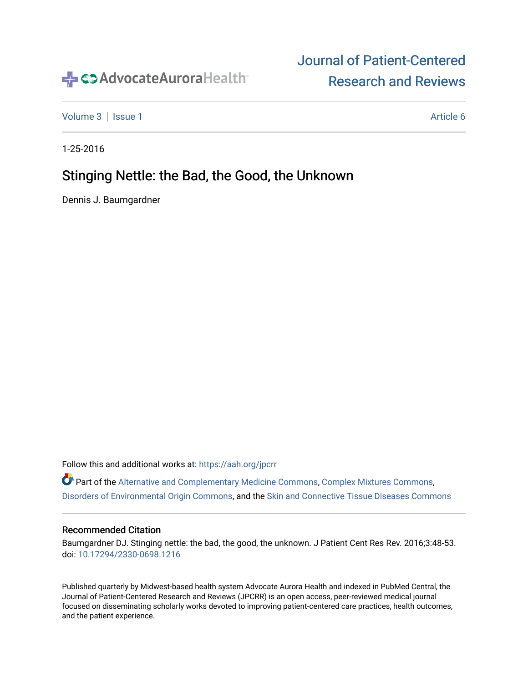

# [Journal of Patient-Centered](https://institutionalrepository.aah.org/jpcrr)  [Research and Reviews](https://institutionalrepository.aah.org/jpcrr)

[Volume 3](https://institutionalrepository.aah.org/jpcrr/vol3) | [Issue 1](https://institutionalrepository.aah.org/jpcrr/vol3/iss1) Article 6

1-25-2016

# Stinging Nettle: the Bad, the Good, the Unknown

Dennis J. Baumgardner

Follow this and additional works at: [https://aah.org/jpcrr](https://institutionalrepository.aah.org/jpcrr?utm_source=institutionalrepository.aah.org%2Fjpcrr%2Fvol3%2Fiss1%2F6&utm_medium=PDF&utm_campaign=PDFCoverPages) 

Part of the [Alternative and Complementary Medicine Commons,](http://network.bepress.com/hgg/discipline/649?utm_source=institutionalrepository.aah.org%2Fjpcrr%2Fvol3%2Fiss1%2F6&utm_medium=PDF&utm_campaign=PDFCoverPages) [Complex Mixtures Commons](http://network.bepress.com/hgg/discipline/991?utm_source=institutionalrepository.aah.org%2Fjpcrr%2Fvol3%2Fiss1%2F6&utm_medium=PDF&utm_campaign=PDFCoverPages), [Disorders of Environmental Origin Commons,](http://network.bepress.com/hgg/discipline/976?utm_source=institutionalrepository.aah.org%2Fjpcrr%2Fvol3%2Fiss1%2F6&utm_medium=PDF&utm_campaign=PDFCoverPages) and the [Skin and Connective Tissue Diseases Commons](http://network.bepress.com/hgg/discipline/942?utm_source=institutionalrepository.aah.org%2Fjpcrr%2Fvol3%2Fiss1%2F6&utm_medium=PDF&utm_campaign=PDFCoverPages)

#### Recommended Citation

Baumgardner DJ. Stinging nettle: the bad, the good, the unknown. J Patient Cent Res Rev. 2016;3:48-53. doi: [10.17294/2330-0698.1216](http://dx.doi.org/10.17294/2330-0698.1216) 

Published quarterly by Midwest-based health system Advocate Aurora Health and indexed in PubMed Central, the Journal of Patient-Centered Research and Reviews (JPCRR) is an open access, peer-reviewed medical journal focused on disseminating scholarly works devoted to improving patient-centered care practices, health outcomes, and the patient experience.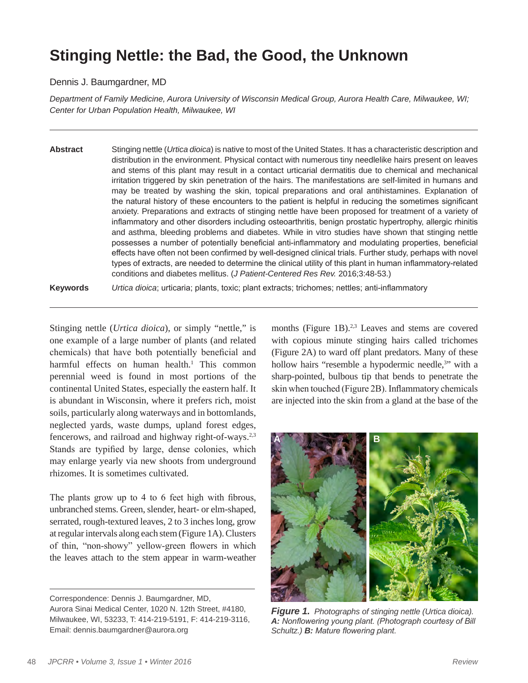# **Stinging Nettle: the Bad, the Good, the Unknown**

#### Dennis J. Baumgardner, MD

*Department of Family Medicine, Aurora University of Wisconsin Medical Group, Aurora Health Care, Milwaukee, WI; Center for Urban Population Health, Milwaukee, WI*

**Abstract** Stinging nettle (*Urtica dioica*) is native to most of the United States. It has a characteristic description and distribution in the environment. Physical contact with numerous tiny needlelike hairs present on leaves and stems of this plant may result in a contact urticarial dermatitis due to chemical and mechanical irritation triggered by skin penetration of the hairs. The manifestations are self-limited in humans and may be treated by washing the skin, topical preparations and oral antihistamines. Explanation of the natural history of these encounters to the patient is helpful in reducing the sometimes significant anxiety. Preparations and extracts of stinging nettle have been proposed for treatment of a variety of inflammatory and other disorders including osteoarthritis, benign prostatic hypertrophy, allergic rhinitis and asthma, bleeding problems and diabetes. While in vitro studies have shown that stinging nettle possesses a number of potentially beneficial anti-inflammatory and modulating properties, beneficial effects have often not been confirmed by well-designed clinical trials. Further study, perhaps with novel types of extracts, are needed to determine the clinical utility of this plant in human inflammatory-related conditions and diabetes mellitus. (*J Patient-Centered Res Rev.* 2016;3:48-53.)

**Keywords** *Urtica dioica*; urticaria; plants, toxic; plant extracts; trichomes; nettles; anti-inflammatory

Stinging nettle (*Urtica dioica*), or simply "nettle," is one example of a large number of plants (and related chemicals) that have both potentially beneficial and harmful effects on human health.<sup>1</sup> This common perennial weed is found in most portions of the continental United States, especially the eastern half. It is abundant in Wisconsin, where it prefers rich, moist soils, particularly along waterways and in bottomlands, neglected yards, waste dumps, upland forest edges, fencerows, and railroad and highway right-of-ways.<sup>2,3</sup> Stands are typified by large, dense colonies, which may enlarge yearly via new shoots from underground rhizomes. It is sometimes cultivated.

The plants grow up to 4 to 6 feet high with fibrous, unbranched stems. Green, slender, heart- or elm-shaped, serrated, rough-textured leaves, 2 to 3 inches long, grow at regular intervals along each stem (Figure 1A). Clusters of thin, "non-showy" yellow-green flowers in which the leaves attach to the stem appear in warm-weather

months (Figure 1B). $2,3$  Leaves and stems are covered with copious minute stinging hairs called trichomes (Figure 2A) to ward off plant predators. Many of these hollow hairs "resemble a hypodermic needle,<sup>3</sup>" with a sharp-pointed, bulbous tip that bends to penetrate the skin when touched (Figure 2B). Inflammatory chemicals are injected into the skin from a gland at the base of the



*Figure 1.**Photographs of stinging nettle (Urtica dioica). A: Nonflowering young plant. (Photograph courtesy of Bill Schultz.) B: Mature flowering plant.*

Correspondence: Dennis J. Baumgardner, MD, Aurora Sinai Medical Center, 1020 N. 12th Street, #4180, Milwaukee, WI, 53233, T: 414-219-5191, F: 414-219-3116, Email: dennis.baumgardner@aurora.org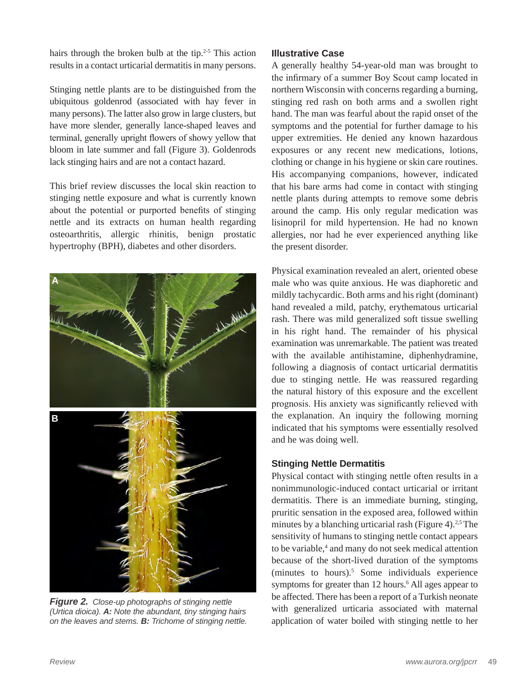hairs through the broken bulb at the tip. $2-5$  This action results in a contact urticarial dermatitis in many persons.

Stinging nettle plants are to be distinguished from the ubiquitous goldenrod (associated with hay fever in many persons). The latter also grow in large clusters, but have more slender, generally lance-shaped leaves and terminal, generally upright flowers of showy yellow that bloom in late summer and fall (Figure 3). Goldenrods lack stinging hairs and are not a contact hazard.

This brief review discusses the local skin reaction to stinging nettle exposure and what is currently known about the potential or purported benefits of stinging nettle and its extracts on human health regarding osteoarthritis, allergic rhinitis, benign prostatic hypertrophy (BPH), diabetes and other disorders.



*Figure 2.**Close-up photographs of stinging nettle (Urtica dioica). A: Note the abundant, tiny stinging hairs on the leaves and stems. B: Trichome of stinging nettle.*

#### **Illustrative Case**

A generally healthy 54-year-old man was brought to the infirmary of a summer Boy Scout camp located in northern Wisconsin with concerns regarding a burning, stinging red rash on both arms and a swollen right hand. The man was fearful about the rapid onset of the symptoms and the potential for further damage to his upper extremities. He denied any known hazardous exposures or any recent new medications, lotions, clothing or change in his hygiene or skin care routines. His accompanying companions, however, indicated that his bare arms had come in contact with stinging nettle plants during attempts to remove some debris around the camp. His only regular medication was lisinopril for mild hypertension. He had no known allergies, nor had he ever experienced anything like the present disorder.

Physical examination revealed an alert, oriented obese male who was quite anxious. He was diaphoretic and mildly tachycardic. Both arms and his right (dominant) hand revealed a mild, patchy, erythematous urticarial rash. There was mild generalized soft tissue swelling in his right hand. The remainder of his physical examination was unremarkable. The patient was treated with the available antihistamine, diphenhydramine, following a diagnosis of contact urticarial dermatitis due to stinging nettle. He was reassured regarding the natural history of this exposure and the excellent prognosis. His anxiety was significantly relieved with the explanation. An inquiry the following morning indicated that his symptoms were essentially resolved and he was doing well.

#### **Stinging Nettle Dermatitis**

Physical contact with stinging nettle often results in a nonimmunologic-induced contact urticarial or irritant dermatitis. There is an immediate burning, stinging, pruritic sensation in the exposed area, followed within minutes by a blanching urticarial rash (Figure 4).<sup>2,5</sup> The sensitivity of humans to stinging nettle contact appears to be variable,<sup>4</sup> and many do not seek medical attention because of the short-lived duration of the symptoms (minutes to hours).5 Some individuals experience symptoms for greater than 12 hours.<sup>6</sup> All ages appear to be affected. There has been a report of a Turkish neonate with generalized urticaria associated with maternal application of water boiled with stinging nettle to her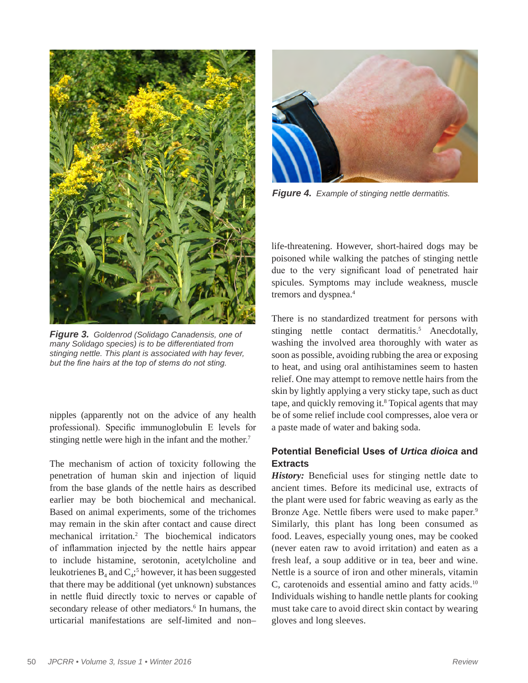

*Figure 3.**Goldenrod (Solidago Canadensis, one of many Solidago species) is to be differentiated from stinging nettle. This plant is associated with hay fever, but the fine hairs at the top of stems do not sting.*

nipples (apparently not on the advice of any health professional). Specific immunoglobulin E levels for stinging nettle were high in the infant and the mother.<sup>7</sup>

The mechanism of action of toxicity following the penetration of human skin and injection of liquid from the base glands of the nettle hairs as described earlier may be both biochemical and mechanical. Based on animal experiments, some of the trichomes may remain in the skin after contact and cause direct mechanical irritation.2 The biochemical indicators of inflammation injected by the nettle hairs appear to include histamine, serotonin, acetylcholine and leukotrienes  $B_4$  and  $C_4$ ;<sup>5</sup> however, it has been suggested that there may be additional (yet unknown) substances in nettle fluid directly toxic to nerves or capable of secondary release of other mediators.<sup>6</sup> In humans, the urticarial manifestations are self-limited and non–



*Figure 4.**Example of stinging nettle dermatitis.*

life-threatening. However, short-haired dogs may be poisoned while walking the patches of stinging nettle due to the very significant load of penetrated hair spicules. Symptoms may include weakness, muscle tremors and dyspnea.<sup>4</sup>

There is no standardized treatment for persons with stinging nettle contact dermatitis.<sup>5</sup> Anecdotally, washing the involved area thoroughly with water as soon as possible, avoiding rubbing the area or exposing to heat, and using oral antihistamines seem to hasten relief. One may attempt to remove nettle hairs from the skin by lightly applying a very sticky tape, such as duct tape, and quickly removing it.<sup>8</sup> Topical agents that may be of some relief include cool compresses, aloe vera or a paste made of water and baking soda.

## **Potential Beneficial Uses of** *Urtica dioica* **and Extracts**

*History:* Beneficial uses for stinging nettle date to ancient times. Before its medicinal use, extracts of the plant were used for fabric weaving as early as the Bronze Age. Nettle fibers were used to make paper.<sup>9</sup> Similarly, this plant has long been consumed as food. Leaves, especially young ones, may be cooked (never eaten raw to avoid irritation) and eaten as a fresh leaf, a soup additive or in tea, beer and wine. Nettle is a source of iron and other minerals, vitamin C, carotenoids and essential amino and fatty acids.<sup>10</sup> Individuals wishing to handle nettle plants for cooking must take care to avoid direct skin contact by wearing gloves and long sleeves.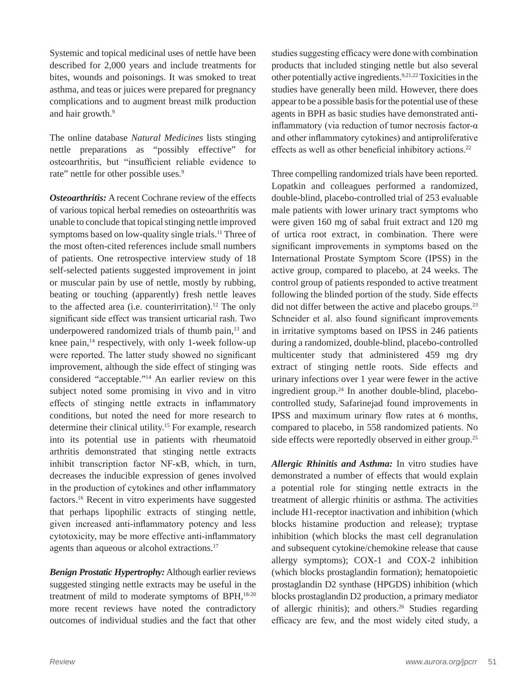Systemic and topical medicinal uses of nettle have been described for 2,000 years and include treatments for bites, wounds and poisonings. It was smoked to treat asthma, and teas or juices were prepared for pregnancy complications and to augment breast milk production and hair growth.<sup>9</sup>

The online database *Natural Medicines* lists stinging nettle preparations as "possibly effective" for osteoarthritis, but "insufficient reliable evidence to rate" nettle for other possible uses.<sup>9</sup>

*Osteoarthritis:* A recent Cochrane review of the effects of various topical herbal remedies on osteoarthritis was unable to conclude that topical stinging nettle improved symptoms based on low-quality single trials.<sup>11</sup> Three of the most often-cited references include small numbers of patients. One retrospective interview study of 18 self-selected patients suggested improvement in joint or muscular pain by use of nettle, mostly by rubbing, beating or touching (apparently) fresh nettle leaves to the affected area (i.e. counterirritation).<sup>12</sup> The only significant side effect was transient urticarial rash. Two underpowered randomized trials of thumb pain,<sup>13</sup> and knee pain, $^{14}$  respectively, with only 1-week follow-up were reported. The latter study showed no significant improvement, although the side effect of stinging was considered "acceptable."14 An earlier review on this subject noted some promising in vivo and in vitro effects of stinging nettle extracts in inflammatory conditions, but noted the need for more research to determine their clinical utility.15 For example, research into its potential use in patients with rheumatoid arthritis demonstrated that stinging nettle extracts inhibit transcription factor NF-κB, which, in turn, decreases the inducible expression of genes involved in the production of cytokines and other inflammatory factors.16 Recent in vitro experiments have suggested that perhaps lipophilic extracts of stinging nettle, given increased anti-inflammatory potency and less cytotoxicity, may be more effective anti-inflammatory agents than aqueous or alcohol extractions.17

*Benign Prostatic Hypertrophy:* Although earlier reviews suggested stinging nettle extracts may be useful in the treatment of mild to moderate symptoms of BPH,<sup>18-20</sup> more recent reviews have noted the contradictory outcomes of individual studies and the fact that other studies suggesting efficacy were done with combination products that included stinging nettle but also several other potentially active ingredients.9,21,22 Toxicities in the studies have generally been mild. However, there does appear to be a possible basis for the potential use of these agents in BPH as basic studies have demonstrated antiinflammatory (via reduction of tumor necrosis factor-α and other inflammatory cytokines) and antiproliferative effects as well as other beneficial inhibitory actions.<sup>22</sup>

Three compelling randomized trials have been reported. Lopatkin and colleagues performed a randomized, double-blind, placebo-controlled trial of 253 evaluable male patients with lower urinary tract symptoms who were given 160 mg of sabal fruit extract and 120 mg of urtica root extract, in combination. There were significant improvements in symptoms based on the International Prostate Symptom Score (IPSS) in the active group, compared to placebo, at 24 weeks. The control group of patients responded to active treatment following the blinded portion of the study. Side effects did not differ between the active and placebo groups.<sup>23</sup> Schneider et al. also found significant improvements in irritative symptoms based on IPSS in 246 patients during a randomized, double-blind, placebo-controlled multicenter study that administered 459 mg dry extract of stinging nettle roots. Side effects and urinary infections over 1 year were fewer in the active ingredient group.24 In another double-blind, placebocontrolled study, Safarinejad found improvements in IPSS and maximum urinary flow rates at 6 months, compared to placebo, in 558 randomized patients. No side effects were reportedly observed in either group.<sup>25</sup>

*Allergic Rhinitis and Asthma:* In vitro studies have demonstrated a number of effects that would explain a potential role for stinging nettle extracts in the treatment of allergic rhinitis or asthma. The activities include H1-receptor inactivation and inhibition (which blocks histamine production and release); tryptase inhibition (which blocks the mast cell degranulation and subsequent cytokine/chemokine release that cause allergy symptoms); COX-1 and COX-2 inhibition (which blocks prostaglandin formation); hematopoietic prostaglandin D2 synthase (HPGDS) inhibition (which blocks prostaglandin D2 production, a primary mediator of allergic rhinitis); and others.26 Studies regarding efficacy are few, and the most widely cited study, a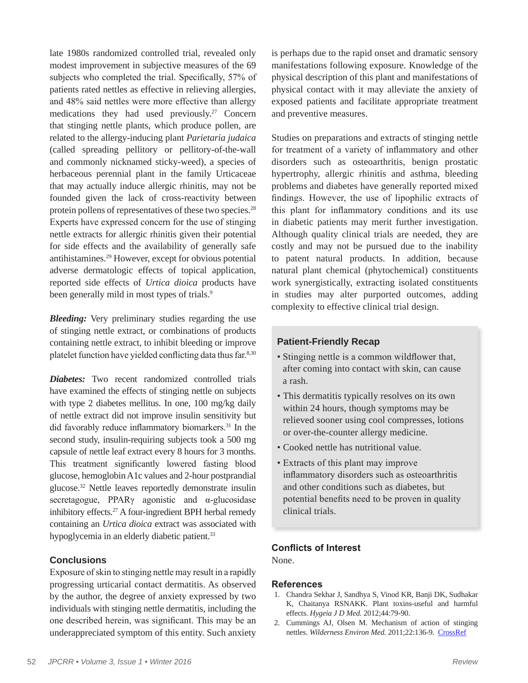late 1980s randomized controlled trial, revealed only modest improvement in subjective measures of the 69 subjects who completed the trial. Specifically, 57% of patients rated nettles as effective in relieving allergies, and 48% said nettles were more effective than allergy medications they had used previously.27 Concern that stinging nettle plants, which produce pollen, are related to the allergy-inducing plant *Parietaria judaica* (called spreading pellitory or pellitory-of-the-wall and commonly nicknamed sticky-weed), a species of herbaceous perennial plant in the family Urticaceae that may actually induce allergic rhinitis, may not be founded given the lack of cross-reactivity between protein pollens of representatives of these two species.28 Experts have expressed concern for the use of stinging nettle extracts for allergic rhinitis given their potential for side effects and the availability of generally safe antihistamines.29 However, except for obvious potential adverse dermatologic effects of topical application, reported side effects of *Urtica dioica* products have been generally mild in most types of trials.<sup>9</sup>

*Bleeding:* Very preliminary studies regarding the use of stinging nettle extract, or combinations of products containing nettle extract, to inhibit bleeding or improve platelet function have yielded conflicting data thus far.8,30

*Diabetes:* Two recent randomized controlled trials have examined the effects of stinging nettle on subjects with type 2 diabetes mellitus. In one, 100 mg/kg daily of nettle extract did not improve insulin sensitivity but did favorably reduce inflammatory biomarkers.<sup>31</sup> In the second study, insulin-requiring subjects took a 500 mg capsule of nettle leaf extract every 8 hours for 3 months. This treatment significantly lowered fasting blood glucose, hemoglobin A1c values and 2-hour postprandial glucose.32 Nettle leaves reportedly demonstrate insulin secretagogue, PPARγ agonistic and α-glucosidase inhibitory effects.27 A four-ingredient BPH herbal remedy containing an *Urtica dioica* extract was associated with hypoglycemia in an elderly diabetic patient.<sup>33</sup>

#### **Conclusions**

Exposure of skin to stinging nettle may result in a rapidly progressing urticarial contact dermatitis. As observed by the author, the degree of anxiety expressed by two individuals with stinging nettle dermatitis, including the one described herein, was significant. This may be an underappreciated symptom of this entity. Such anxiety

is perhaps due to the rapid onset and dramatic sensory manifestations following exposure. Knowledge of the physical description of this plant and manifestations of physical contact with it may alleviate the anxiety of exposed patients and facilitate appropriate treatment and preventive measures.

Studies on preparations and extracts of stinging nettle for treatment of a variety of inflammatory and other disorders such as osteoarthritis, benign prostatic hypertrophy, allergic rhinitis and asthma, bleeding problems and diabetes have generally reported mixed findings. However, the use of lipophilic extracts of this plant for inflammatory conditions and its use in diabetic patients may merit further investigation. Although quality clinical trials are needed, they are costly and may not be pursued due to the inability to patent natural products. In addition, because natural plant chemical (phytochemical) constituents work synergistically, extracting isolated constituents in studies may alter purported outcomes, adding complexity to effective clinical trial design.

### **Patient-Friendly Recap**

- Stinging nettle is a common wildflower that, after coming into contact with skin, can cause a rash.
- This dermatitis typically resolves on its own within 24 hours, though symptoms may be relieved sooner using cool compresses, lotions or over-the-counter allergy medicine.
- Cooked nettle has nutritional value.
- Extracts of this plant may improve inflammatory disorders such as osteoarthritis and other conditions such as diabetes, but potential benefits need to be proven in quality clinical trials.

### **Conflicts of Interest**

None.

#### **References**

- 1. Chandra Sekhar J, Sandhya S, Vinod KR, Banji DK, Sudhakar K, Chaitanya RSNAKK. Plant toxins-useful and harmful effects. *Hygeia J D Med.* 2012;44:79-90.
- 2. Cummings AJ, Olsen M. Mechanism of action of stinging nettles. *Wilderness Environ Med.* 2011;22:136-9. CrossRef